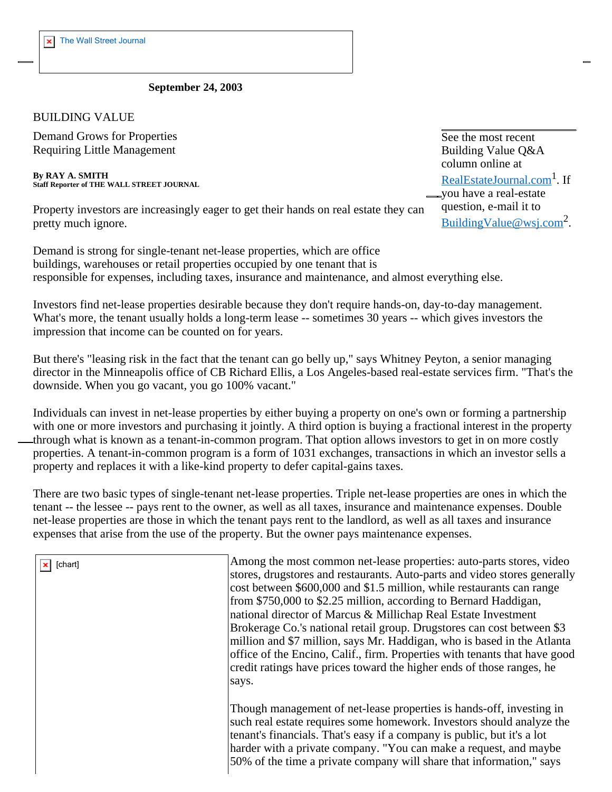## **September 24, 2003**

## BUILDING VALUE

Demand Grows for Properties Requiring Little Management

**By RAY A. SMITH Staff Reporter of THE WALL STREET JOURNAL**

Property investors are increasingly eager to get their hands on real estate they can pretty much ignore.

Demand is strong for single-tenant net-lease properties, which are office buildings, warehouses or retail properties occupied by one tenant that is responsible for expenses, including taxes, insurance and maintenance, and almost everything else.

Investors find net-lease properties desirable because they don't require hands-on, day-to-day management. What's more, the tenant usually holds a long-term lease -- sometimes 30 years -- which gives investors the impression that income can be counted on for years.

But there's "leasing risk in the fact that the tenant can go belly up," says Whitney Peyton, a senior managing director in the Minneapolis office of CB Richard Ellis, a Los Angeles-based real-estate services firm. "That's the downside. When you go vacant, you go 100% vacant."

Individuals can invest in net-lease properties by either buying a property on one's own or forming a partnership with one or more investors and purchasing it jointly. A third option is buying a fractional interest in the property through what is known as a tenant-in-common program. That option allows investors to get in on more costly properties. A tenant-in-common program is a form of 1031 exchanges, transactions in which an investor sells a property and replaces it with a like-kind property to defer capital-gains taxes.

There are two basic types of single-tenant net-lease properties. Triple net-lease properties are ones in which the tenant -- the lessee -- pays rent to the owner, as well as all taxes, insurance and maintenance expenses. Double net-lease properties are those in which the tenant pays rent to the landlord, as well as all taxes and insurance expenses that arise from the use of the property. But the owner pays maintenance expenses.

| [chart] | Among the most common net-lease properties: auto-parts stores, video<br>stores, drugstores and restaurants. Auto-parts and video stores generally<br>cost between \$600,000 and \$1.5 million, while restaurants can range<br>from \$750,000 to \$2.25 million, according to Bernard Haddigan,<br>national director of Marcus & Millichap Real Estate Investment<br>Brokerage Co.'s national retail group. Drugstores can cost between \$3<br>million and \$7 million, says Mr. Haddigan, who is based in the Atlanta<br>office of the Encino, Calif., firm. Properties with tenants that have good<br>credit ratings have prices toward the higher ends of those ranges, he<br>says. |
|---------|---------------------------------------------------------------------------------------------------------------------------------------------------------------------------------------------------------------------------------------------------------------------------------------------------------------------------------------------------------------------------------------------------------------------------------------------------------------------------------------------------------------------------------------------------------------------------------------------------------------------------------------------------------------------------------------|
|         | Though management of net-lease properties is hands-off, investing in<br>such real estate requires some homework. Investors should analyze the<br>tenant's financials. That's easy if a company is public, but it's a lot<br>harder with a private company. "You can make a request, and maybe<br>50% of the time a private company will share that information," says                                                                                                                                                                                                                                                                                                                 |

See the most recent Building Value Q&A column online at RealEstateJournal.com<sup>1</sup>. If you have a real-estate question, e-mail it to BuildingValue@wsj.com2.